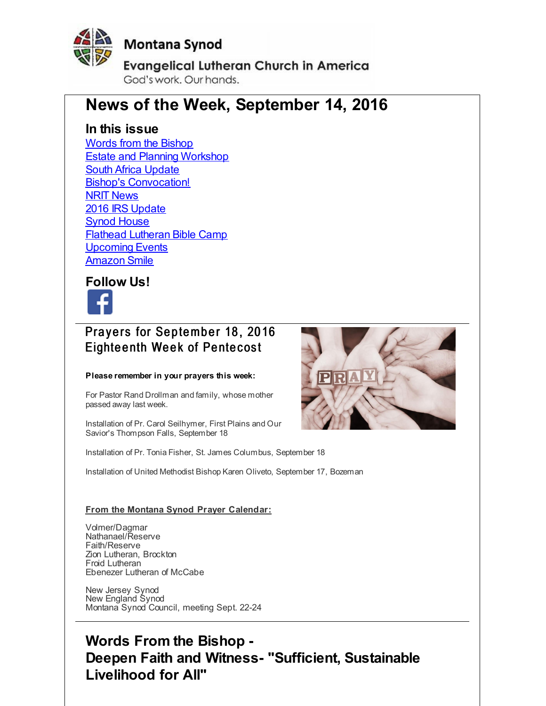<span id="page-0-0"></span>

#### **Montana Synod**

**Evangelical Lutheran Church in America** God's work, Our hands,

# **News of the Week, September 14, 2016**

#### **In this issue**

Words from the [Bishop](#page-0-0) **Estate and Planning [Workshop](#page-0-0)** South Africa [Update](#page-0-0) Bishop's [Convocation!](#page-0-0) **NRIT [News](#page-0-0)** 2016 IRS [Update](#page-0-0) Synod [House](#page-0-0) Flathead [Lutheran](#page-0-0) Bible Camp [Upcoming](#page-0-0) Events [Amazon](#page-0-0) Smile

**Follow Us!**



#### Prayers for September 18, 2016 Eighteenth Week of Pentecost

#### **Please remember in your prayers this week:**

For Pastor Rand Drollman and family, whose mother passed away last week.

Installation of Pr. Carol Seilhymer, First Plains and Our Savior's Thompson Falls, September 18

Installation of Pr. Tonia Fisher, St. James Columbus, September 18

Installation of United Methodist Bishop Karen Oliveto, September 17, Bozeman

#### **From the Montana Synod Prayer Calendar:**

Volmer/Dagmar Nathanael/Reserve Faith/Reserve Zion Lutheran, Brockton Froid Lutheran Ebenezer Lutheran of McCabe

New Jersey Synod New England Synod Montana Synod Council, meeting Sept. 22-24



### **Words From the Bishop - Deepen Faith and Witness- "Sufficient, Sustainable Livelihood for All"**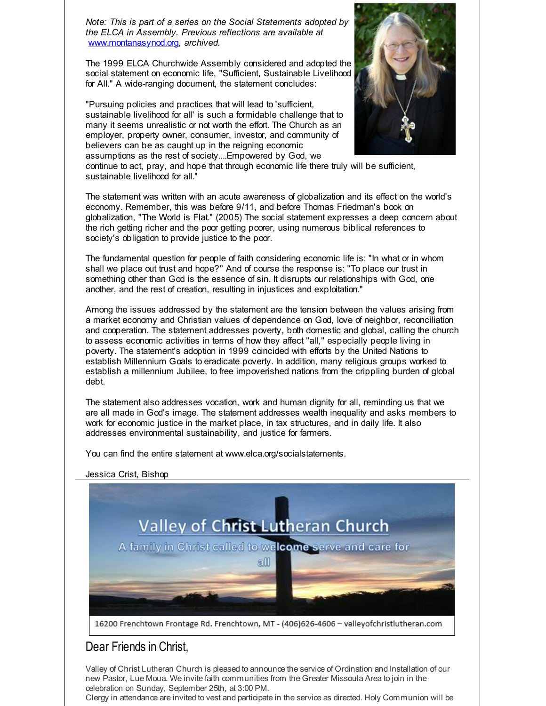*Note: This is part of a series on the Social Statements adopted by the ELCA in Assembly. Previous reflections are available at* [www.montanasynod.org](http://r20.rs6.net/tn.jsp?f=001vSa1esj__sI6AGb4os0meDbSbiuyrEYycc810nSVM88pT3-W6GsDOnU0o6q8IH48feMZWvpoUaVSh9CmwFNFXcOlmksHlr9SiBulK1AB8kADhf0ITIOQrwLC5awtaxWBklJ5YMcnV4C1Mzcq_ECktPSshBdjG_DSMw6mUnASyw4=&c=&ch=)*, archived.*

The 1999 ELCA Churchwide Assembly considered and adopted the social statement on economic life, "Sufficient, Sustainable Livelihood for All." A wide-ranging document, the statement concludes:

"Pursuing policies and practices that will lead to 'sufficient, sustainable livelihood for all' is such a formidable challenge that to many it seems unrealistic or not worth the effort. The Church as an employer, property owner, consumer, investor, and community of believers can be as caught up in the reigning economic assumptions as the rest of society....Empowered by God, we



continue to act, pray, and hope that through economic life there truly will be sufficient, sustainable livelihood for all."

The statement was written with an acute awareness of globalization and its effect on the world's economy. Remember, this was before 9/11, and before Thomas Friedman's book on globalization, "The World is Flat." (2005) The social statement expresses a deep concern about the rich getting richer and the poor getting poorer, using numerous biblical references to society's obligation to provide justice to the poor.

The fundamental question for people of faith considering economic life is: "In what or in whom shall we place out trust and hope?" And of course the response is: "To place our trust in something other than God is the essence of sin. It disrupts our relationships with God, one another, and the rest of creation, resulting in injustices and exploitation."

Among the issues addressed by the statement are the tension between the values arising from a market economy and Christian values of dependence on God, love of neighbor, reconciliation and cooperation. The statement addresses poverty, both domestic and global, calling the church to assess economic activities in terms of how they affect "all," especially people living in poverty. The statement's adoption in 1999 coincided with efforts by the United Nations to establish Millennium Goals to eradicate poverty. In addition, many religious groups worked to establish a millennium Jubilee, to free impoverished nations from the crippling burden of global debt.

The statement also addresses vocation, work and human dignity for all, reminding us that we are all made in God's image. The statement addresses wealth inequality and asks members to work for economic justice in the market place, in tax structures, and in daily life. It also addresses environmental sustainability, and justice for farmers.

You can find the entire statement at www.elca.org/socialstatements.





#### Dear Friends in Christ,

Valley of Christ Lutheran Church is pleased to announce the service of Ordination and Installation of our new Pastor, Lue Moua. We invite faith communities from the Greater Missoula Area to join in the celebration on Sunday, September 25th, at 3:00 PM.

Clergy in attendance are invited to vest and participate in the service as directed. Holy Communion will be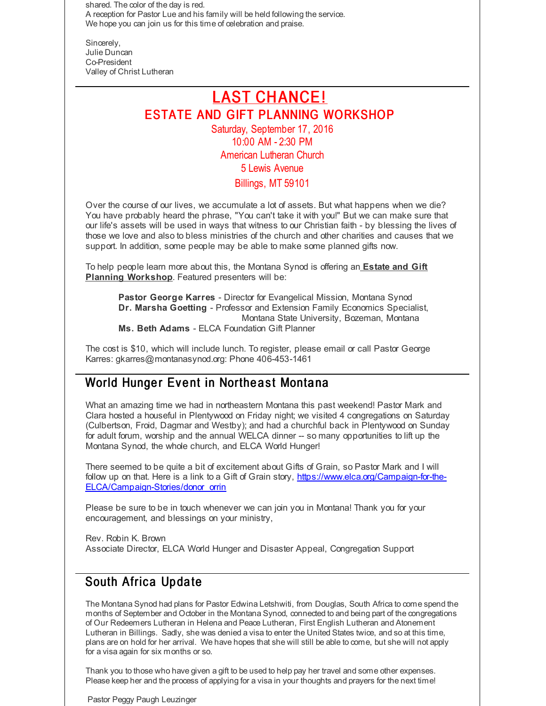shared. The color of the day is red. A reception for Pastor Lue and his family will be held following the service. We hope you can join us for this time of celebration and praise.

Sincerely, Julie Duncan Co-President Valley of Christ Lutheran

#### LAST CHANCE! ESTATE AND GIFT PLANNING WORKSHOP Saturday, September 17, 2016 10:00 AM - 2:30 PM

American Lutheran Church 5 Lewis Avenue

#### Billings, MT 59101

Over the course of our lives, we accumulate a lot of assets. But what happens when we die? You have probably heard the phrase, "You can't take it with you!" But we can make sure that our life's assets will be used in ways that witness to our Christian faith - by blessing the lives of those we love and also to bless ministries of the church and other charities and causes that we support. In addition, some people may be able to make some planned gifts now.

To help people learn more about this, the Montana Synod is offering an **Estate and Gift Planning Workshop**. Featured presenters will be:

**Pastor George Karres** - Director for Evangelical Mission, Montana Synod **Dr. Marsha Goetting** - Professor and Extension Family Economics Specialist, Montana State University, Bozeman, Montana **Ms. Beth Adams** - ELCA Foundation Gift Planner

The cost is \$10, which will include lunch. To register, please email or call Pastor George Karres: gkarres@montanasynod.org: Phone 406-453-1461

#### World Hunger Event in Northeast Montana

What an amazing time we had in northeastern Montana this past weekend! Pastor Mark and Clara hosted a houseful in Plentywood on Friday night; we visited 4 congregations on Saturday (Culbertson, Froid, Dagmar and Westby); and had a churchful back in Plentywood on Sunday for adult forum, worship and the annual WELCA dinner -- so many opportunities to lift up the Montana Synod, the whole church, and ELCA World Hunger!

There seemed to be quite a bit of excitement about Gifts of Grain, so Pastor Mark and I will follow up on that. Here is a link to a Gift of Grain story, [https://www.elca.org/Campaign-for-the-](http://r20.rs6.net/tn.jsp?f=001vSa1esj__sI6AGb4os0meDbSbiuyrEYycc810nSVM88pT3-W6GsDOtRfA460vksaIuwhiSXAA3n9qDEf0c29J2WAiI-Q9yXUsgWtvve9y-TBhFvUn046_ZojjQlLZdEzOF3S7zh4eyNN24oCmq-0FpzYCpMnR0EJnLMXTRxB3LONc96WqG8tRY0wT_eZkjgW-yAMg-WaZ5QtjMG8Z7C6b5gVBSWbJKpBRqBpLgyF470Eby4sFbLVWw==&c=&ch=)ELCA/Campaign-Stories/donor\_orrin

Please be sure to be in touch whenever we can join you in Montana! Thank you for your encouragement, and blessings on your ministry,

Rev. Robin K. Brown Associate Director, ELCA World Hunger and Disaster Appeal, Congregation Support

#### South Africa Update

The Montana Synod had plans for Pastor Edwina Letshwiti, from Douglas, South Africa to come spend the months of September and October in the Montana Synod, connected to and being part of the congregations of Our Redeemers Lutheran in Helena and Peace Lutheran, First English Lutheran and Atonement Lutheran in Billings. Sadly, she was denied a visa to enter the United States twice, and so at this time, plans are on hold for her arrival. We have hopes that she will still be able to come, but she will not apply for a visa again for six months or so.

Thank you to those who have given a gift to be used to help pay her travel and some other expenses. Please keep her and the process of applying for a visa in your thoughts and prayers for the next time!

Pastor Peggy Paugh Leuzinger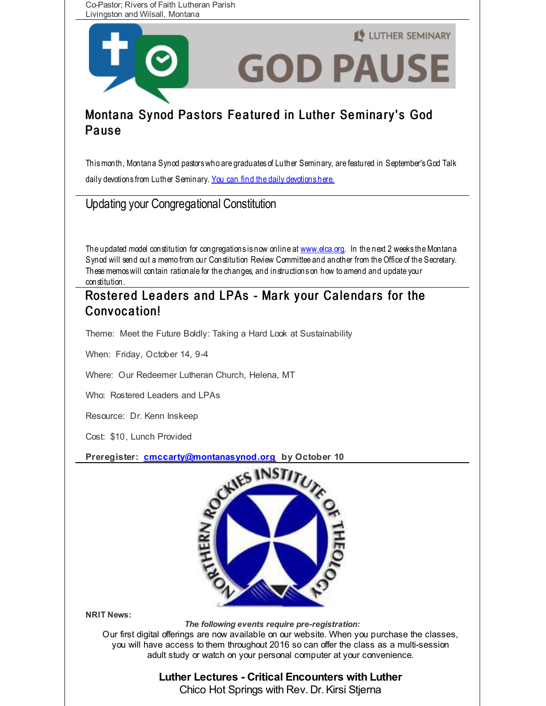Co-Pastor; Rivers of Faith Lutheran Parish Livingston and Wilsall, Montana



#### Montana Synod Pastors Featured in Luther Seminary's God **Pause**

Thismonth, Montana Synod pastorswho are graduates of Luther Seminary, are featured in September'sGod Talk daily devotions from Luther Seminary. You can find the daily [devotions](http://r20.rs6.net/tn.jsp?f=001vSa1esj__sI6AGb4os0meDbSbiuyrEYycc810nSVM88pT3-W6GsDOmgKSRXRCccYgCgxD2CO3Br0XvtA8oYkXE1WDNAymw0l96HEAr7CjtpnySXqtL_lGV4ff9iruUvhNu9_zJLk327EblprMckmQZJxgO-CiDmcB4he4i03XGb2FhaZaUUMyRgwDIpSMStg&c=&ch=) here.

Updating your Congregational Constitution

The updated model constitution for congregations is now online at [www.elca.org](http://r20.rs6.net/tn.jsp?f=001vSa1esj__sI6AGb4os0meDbSbiuyrEYycc810nSVM88pT3-W6GsDOtIV918RST9uQQxwAUXKrJ4YCn_cuRtxeygce9z3H-Yemd0H5x0GFzTUQmkTCao6IXtMsS789ZCRvB4RIjORIVdWlTI5VbkvFUrDPHnkDFJ9&c=&ch=). In the next 2 weeks the Montana Synod will send out a memo from our Constitution Review Committee and another from the Office of the Secretary. Thesememoswill contain rationale for the changes, and instructions on how to amend and update your constitution.

#### Rostered Leaders and LPAs - Mark your Calendars for the Convocation!

Theme: Meet the Future Boldly: Taking a Hard Look at Sustainability

When: Friday, October 14, 9-4

Where: Our Redeemer Lutheran Church, Helena, MT

Who: Rostered Leaders and LPAs

Resource: Dr. Kenn Inskeep

Cost: \$10, Lunch Provided

**Preregister: [cmccarty@montanasynod.org](mailto:cmccarty@montanasynod.org) by October 10**



**NRIT News:**

*The following events require pre-registration:*

Our first digital offerings are now available on our website. When you purchase the classes, you will have access to them throughout 2016 so can offer the class as a multi-session adult study or watch on your personal computer at your convenience.

# **Luther Lectures - Critical Encounters with Luther**

Chico Hot Springs with Rev. Dr.Kirsi Stjerna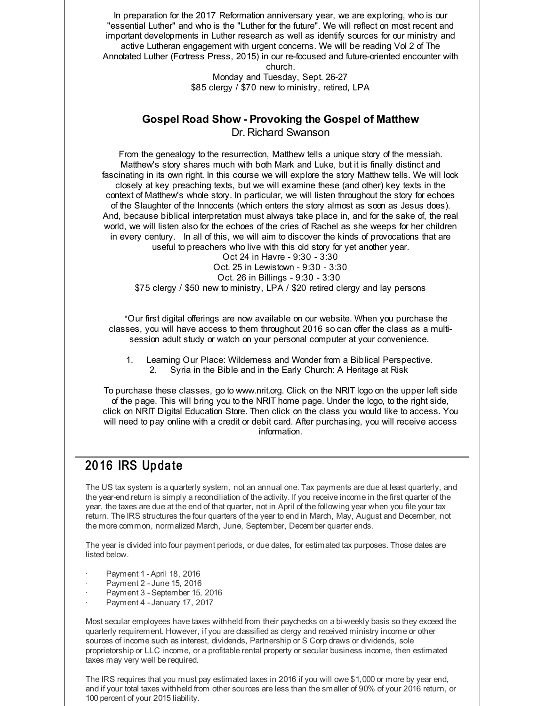In preparation for the 2017 Reformation anniversary year, we are exploring, who is our "essential Luther" and who is the "Luther for the future". We will reflect on most recent and important developments in Luther research as well as identify sources for our ministry and active Lutheran engagement with urgent concerns. We will be reading Vol 2 of The Annotated Luther (Fortress Press, 2015) in our re-focused and future-oriented encounter with church.

> Monday and Tuesday, Sept. 26-27 \$85 clergy / \$70 new to ministry, retired, LPA

#### **Gospel Road Show - Provoking the Gospel of Matthew**

Dr. Richard Swanson

From the genealogy to the resurrection, Matthew tells a unique story of the messiah. Matthew's story shares much with both Mark and Luke, but it is finally distinct and fascinating in its own right. In this course we will explore the story Matthew tells. We will look closely at key preaching texts, but we will examine these (and other) key texts in the context of Matthew's whole story. In particular, we will listen throughout the story for echoes of the Slaughter of the Innocents (which enters the story almost as soon as Jesus does). And, because biblical interpretation must always take place in, and for the sake of, the real world, we will listen also for the echoes of the cries of Rachel as she weeps for her children in every century. In all of this, we will aim to discover the kinds of provocations that are useful to preachers who live with this old story for yet another year.

Oct 24 in Havre - 9:30 - 3:30 Oct. 25 in Lewistown - 9:30 - 3:30 Oct. 26 in Billings - 9:30 - 3:30 \$75 clergy / \$50 new to ministry, LPA / \$20 retired clergy and lay persons

\*Our first digital offerings are now available on our website. When you purchase the classes, you will have access to them throughout 2016 so can offer the class as a multisession adult study or watch on your personal computer at your convenience.

1. Learning Our Place: Wilderness and Wonder from a Biblical Perspective. 2. Syria in the Bible and in the Early Church: A Heritage at Risk

To purchase these classes, go to www.nrit.org. Click on the NRIT logo on the upper left side of the page. This will bring you to the NRIT home page. Under the logo, to the right side, click on NRIT Digital Education Store. Then click on the class you would like to access. You will need to pay online with a credit or debit card. After purchasing, you will receive access information.

#### 20 16 IRS Up da te

The US tax system is a quarterly system, not an annual one. Tax payments are due at least quarterly, and the year-end return is simply a reconciliation of the activity. If you receive income in the first quarter of the year, the taxes are due at the end of that quarter, not in April of the following year when you file your tax return. The IRS structures the four quarters of the year to end in March, May, August and December, not the more common, normalized March, June, September, December quarter ends.

The year is divided into four payment periods, or due dates, for estimated tax purposes. Those dates are listed below.

- · Payment 1 April 18, 2016
- · Payment 2 -June 15, 2016
- Payment 3 September 15, 2016
- Payment 4 January 17, 2017

Most secular employees have taxes withheld from their paychecks on a bi-weekly basis so they exceed the quarterly requirement. However, if you are classified as clergy and received ministry income or other sources of income such as interest, dividends, Partnership or S Corp draws or dividends, sole proprietorship or LLC income, or a profitable rental property or secular business income, then estimated taxes may very well be required.

The IRS requires that you must pay estimated taxes in 2016 if you will owe \$1,000 or more by year end, and if your total taxes withheld from other sources are less than the smaller of 90% of your 2016 return, or 100 percent of your 2015 liability.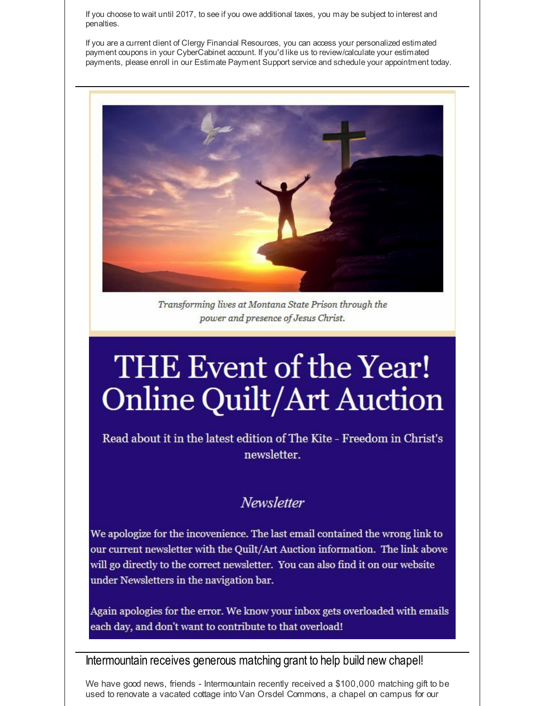If you choose to wait until 2017, to see if you owe additional taxes, you may be subject to interest and penalties.

If you are a current client of Clergy Financial Resources, you can access your personalized estimated payment coupons in your CyberCabinet account. If you'd like us to review/calculate your estimated payments, please enroll in our Estimate Payment Support service and schedule your appointment today.



Transforming lives at Montana State Prison through the power and presence of Jesus Christ.

# THE Event of the Year! **Online Quilt/Art Auction**

Read about it in the latest edition of The Kite - Freedom in Christ's newsletter.

#### **Newsletter**

We apologize for the incovenience. The last email contained the wrong link to our current newsletter with the Quilt/Art Auction information. The link above will go directly to the correct newsletter. You can also find it on our website under Newsletters in the navigation bar.

Again apologies for the error. We know your inbox gets overloaded with emails each day, and don't want to contribute to that overload!

#### Intermountain receives generous matching grant to help build new chapel!

We have good news, friends - Intermountain recently received a \$100,000 matching gift to be used to renovate a vacated cottage into Van Orsdel Commons, a chapel on campus for our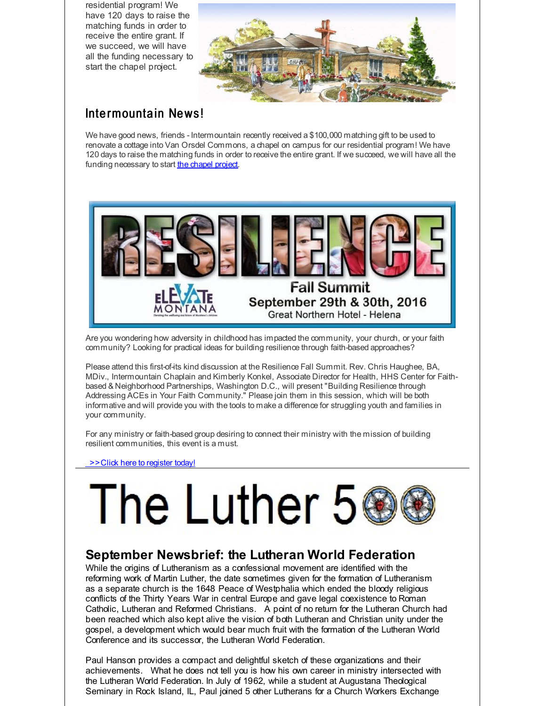residential program! We have 120 days to raise the matching funds in order to receive the entire grant. If we succeed, we will have all the funding necessary to start the chapel project.



#### Intermountain News!

We have good news, friends - Intermountain recently received a \$100,000 matching gift to be used to renovate a cottage into Van Orsdel Commons, a chapel on campus for our residential program! We have 120 days to raise the matching funds in order to receive the entire grant. If we succeed, we will have all the funding necessary to start the [chapel](http://r20.rs6.net/tn.jsp?f=001vSa1esj__sI6AGb4os0meDbSbiuyrEYycc810nSVM88pT3-W6GsDOoBy4UVOgCoHQ9IjIZTdbz1UvzIn4h-hTnqhKcwdkn3iORXRghSbmggxJnFxl2JSvm6Ka1KcVxQeSggsdVzAWzV44_9SSda9EmLLX7UuTGQeF2tL8jWhWvM3cD8MylgJ1JxaPjjy9CQDkv9R7P7FdICVXRTBNWml0hLheQb7Pyt-&c=&ch=) project.



Are you wondering how adversity in childhood has impacted the community, your church, or your faith community? Looking for practical ideas for building resilience through faith-based approaches?

Please attend this first-of-its kind discussion at the Resilience Fall Summit. Rev. Chris Haughee, BA, MDiv., Intermountain Chaplain and Kimberly Konkel, Associate Director for Health, HHS Center for Faithbased & Neighborhood Partnerships, Washington D.C., will present "Building Resilience through Addressing ACEs in Your Faith Community." Please join them in this session, which will be both informative and will provide you with the tools to make a difference for struggling youth and families in your community.

For any ministry or faith-based group desiring to connect their ministry with the mission of building resilient communities, this event is a must.

[>>Click](http://r20.rs6.net/tn.jsp?f=001vSa1esj__sI6AGb4os0meDbSbiuyrEYycc810nSVM88pT3-W6GsDOoBy4UVOgCoHdbrz91s8i5G7s0sN7TvJc6HlHYmn7qDQiE9LpDt5-tmnz4t0odAtLKAnz6L4v6hlIKrQnjLw9ITxj6ff6jxvrq0s7rVhcx682wf-eQtS7YopLD8vaslG6B9vGPeVQNf89aFp0L5SBHU=&c=&ch=) here to register today!

# The Luther 5

#### **September Newsbrief: the Lutheran World Federation**

While the origins of Lutheranism as a confessional movement are identified with the reforming work of Martin Luther, the date sometimes given for the formation of Lutheranism as a separate church is the 1648 Peace of Westphalia which ended the bloody religious conflicts of the Thirty Years War in central Europe and gave legal coexistence to Roman Catholic, Lutheran and Reformed Christians. A point of no return for the Lutheran Church had been reached which also kept alive the vision of both Lutheran and Christian unity under the gospel, a development which would bear much fruit with the formation of the Lutheran World Conference and its successor, the Lutheran World Federation.

Paul Hanson provides a compact and delightful sketch of these organizations and their achievements. What he does not tell you is how his own career in ministry intersected with the Lutheran World Federation. In July of 1962, while a student at Augustana Theological Seminary in Rock Island, IL, Paul joined 5 other Lutherans for a Church Workers Exchange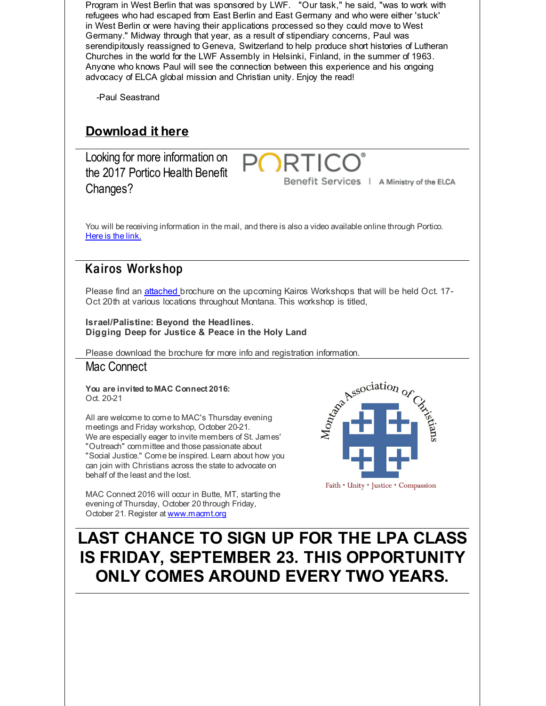Program in West Berlin that was sponsored by LWF. "Our task," he said, "was to work with refugees who had escaped from East Berlin and East Germany and who were either 'stuck' in West Berlin or were having their applications processed so they could move to West Germany." Midway through that year, as a result of stipendiary concerns, Paul was serendipitously reassigned to Geneva, Switzerland to help produce short histories of Lutheran Churches in the world for the LWF Assembly in Helsinki, Finland, in the summer of 1963. Anyone who knows Paul will see the connection between this experience and his ongoing advocacy of ELCA global mission and Christian unity. Enjoy the read! -Paul Seastrand **[Download](http://r20.rs6.net/tn.jsp?f=001vSa1esj__sI6AGb4os0meDbSbiuyrEYycc810nSVM88pT3-W6GsDOlCKX3R4GiYt1cjqkl_3QIiPaFKuicayMC0tXQC5_oCb-QfjGipIhM6CcLDJMzlnbISB8m9JcHTB1vRg8dsuTp2A2RLCKEV9rfoYkJwnoYAt0uhmNCtzv4T9jK0w4euYPLwHGp5BbWTqJcPFEZkja2s=&c=&ch=) it here** Looking for more information on **PORT** the 2017 Portico Health Benefit Benefit Services | A Ministry of the ELCA Changes? You will be receiving information in the mail, and there is also a video available online through Portico. [Here](http://r20.rs6.net/tn.jsp?f=001vSa1esj__sI6AGb4os0meDbSbiuyrEYycc810nSVM88pT3-W6GsDOtRfA460vksat38UW3wSpE3LUyDbMy0Ln7TPZ8JmWRLvAgDMCrixz_3sYXh5l5PoISamI0tLxQvNne6NfQO6EXdHfiiKEnbxZSk2SrXC5LpyyioAW2IlN5ejpx3EqYvWIw==&c=&ch=) is the link. Kairos Workshop Please find an [attached](http://r20.rs6.net/tn.jsp?f=001vSa1esj__sI6AGb4os0meDbSbiuyrEYycc810nSVM88pT3-W6GsDOmgKSRXRCccY84iqoOdNrTfKRaqj3vXYFRXVzGvlt7bYrkiy-0fv7dLlIrzFnxJm47SLrOxhtAnzPDB3d0-I_-fBFZ59EWFLS4gPmH8whdZLHZ3iRFa9VvHjpkuvG-ndIH_MQ0XBhIEYsiZWgH_MPdLnqdJ0LFn_95acHJk1aJ6Xa0tKeKFET_Zx3u_aaFnqosM6hzV6zZ73LytJ973JaHE=&c=&ch=) brochure on the upcoming Kairos Workshops that will be held Oct. 17-Oct 20th at various locations throughout Montana. This workshop is titled, **Israel/Palistine: Beyond the Headlines. Digging Deep for Justice & Peace in the Holy Land** Please download the brochure for more info and registration information.<br> **Mac Connect**<br> **You are invited to MAC Connect 2016:**<br>
Oct. 20-21<br>
All are welcome to come to MAC's Thursday evening<br>
meetings and Friday workshop. Mac Connect **You are invited to MAC Connect 2016:** Oct. 20-21 All are welcome to come to MAC's Thursday evening meetings and Friday workshop, October 20-21. We are especially eager to invite members of St. James' "Outreach" committee and those passionate about "Social Justice." Come be inspired. Learn about how you can join with Christians across the state to advocate on behalf of the least and the lost. Faith • Unity • Justice • Compassion MAC Connect 2016 will occur in Butte, MT, starting the evening of Thursday, October 20 through Friday, October 21. Register at [www.macmt.org](http://r20.rs6.net/tn.jsp?f=001vSa1esj__sI6AGb4os0meDbSbiuyrEYycc810nSVM88pT3-W6GsDOhQpq3FcS_6KlRtR2goGwZ45yj6EqQY8oYEKKE7FjqdlHIgnvHjtAZBAE0nMjubqynv0AeTlNofbsuB7HZjJnP7IOzbSPe0TVMR54UvlsJIHoFEKCD64Qxg=&c=&ch=) **LAST CHANCE TO SIGN UP FOR THE LPA CLASS IS FRIDAY, SEPTEMBER 23. THIS OPPORTUNITY ONLY COMES AROUND EVERY TWO YEARS.**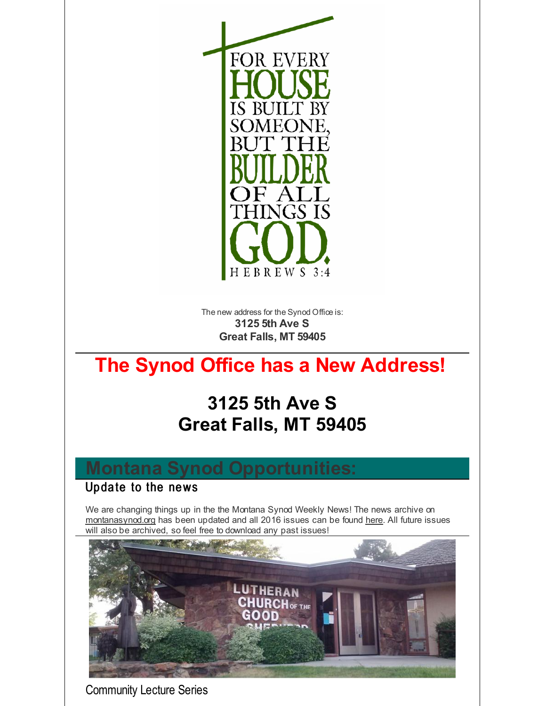

The new address for the Synod Office is: **3125 5th Ave S Great Falls, MT 59405**

# **The Synod Office has a New Address!**

# **3125 5th Ave S Great Falls, MT 59405**

## **Montana Synod Opportunities:**

#### Update to the news

We are changing things up in the the Montana Synod Weekly News! The news archive on [montanasynod.org](http://r20.rs6.net/tn.jsp?f=001vSa1esj__sI6AGb4os0meDbSbiuyrEYycc810nSVM88pT3-W6GsDOnU0o6q8IH48feMZWvpoUaVSh9CmwFNFXcOlmksHlr9SiBulK1AB8kADhf0ITIOQrwLC5awtaxWBklJ5YMcnV4C1Mzcq_ECktPSshBdjG_DSMw6mUnASyw4=&c=&ch=) has been updated and all 2016 issues can be found [here](http://r20.rs6.net/tn.jsp?f=001vSa1esj__sI6AGb4os0meDbSbiuyrEYycc810nSVM88pT3-W6GsDOmgKSRXRCccYMsHUfnkJzKnDEPpjut5c5XbgHMT53qmiRtOqC7W7kVbR_RuVK5nuxdl71UDyPAjJruQWj8ZWRa50DaL6188BFfkl-6anMih3ew1UEGDt4RhL9S9E0XmYRJyHwhuzAeImBNNiG8kedWiVE5RJ3yeGBg==&c=&ch=). All future issues will also be archived, so feel free to download any past issues!



Community Lecture Series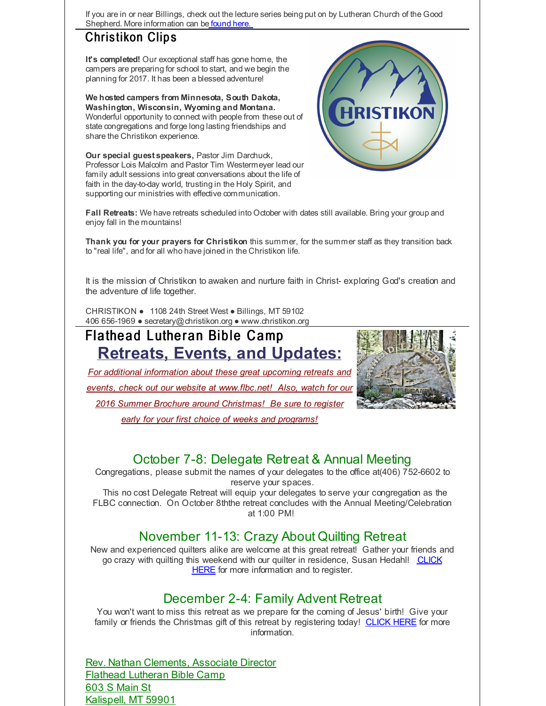If you are in or near Billings, check out the lecture series being put on by Lutheran Church of the Good Shepherd. More information can be [found](http://r20.rs6.net/tn.jsp?f=001vSa1esj__sI6AGb4os0meDbSbiuyrEYycc810nSVM88pT3-W6GsDOtRfA460vksa5a_S81NjttNTUfMnBk9aGXuxW_94Km8c2nD7IgXiAMeD48KNRM6IsLWkPowcAXObzXEi2CSwCiquFRsvIUVytz2tjOSIFMwC2ao4Puz-7iu-gEN_HV0E7J4tLjxf9SL_aZp1f57A2-7LZMgyNVclHh2Tv_K6os0W&c=&ch=) here.

#### Christikon Clips

**It's completed!** Our exceptional staff has gone home, the campers are preparing for school to start, and we begin the planning for 2017. It has been a blessed adventure!

**We hosted campers from Minnesota, South Dakota, Washington, Wisconsin, Wyoming and Montana.** Wonderful opportunity to connect with people from these out of state congregations and forge long lasting friendships and share the Christikon experience.

**Our special guest speakers,** Pastor Jim Darchuck, Professor Lois Malcolm and Pastor Tim Westermeyer lead our family adult sessions into great conversations about the life of faith in the day-to-day world, trusting in the Holy Spirit, and supporting our ministries with effective communication.



**Fall Retreats:** We have retreats scheduled into October with dates still available. Bring your group and enjoy fall in the mountains!

**Thank you for your prayers for Christikon** this summer, for the summer staff as they transition back to "real life", and for all who have joined in the Christikon life.

It is the mission of Christikon to awaken and nurture faith in Christ- exploring God's creation and the adventure of life together.

CHRISTIKON ● 1108 24th Street West ● Billings, MT 59102 406 656-1969 ● secretary@christikon.org ● www.christikon.org

# Flathead Lutheran Bible Camp **Retreats, Events, and Updates:**

*For additional information about these great upcoming retreats and events, check out our website at [www.flbc.net](http://r20.rs6.net/tn.jsp?f=001vSa1esj__sI6AGb4os0meDbSbiuyrEYycc810nSVM88pT3-W6GsDOkkgBukcXdWTO2bZ7nfTk4Ij9IxAk5R4g2bcOlBkcbSPv7lD-x8ntDwKQl51ezgT3tAz_KAUKl955ysjpgC0nucZb53lwJJoEofhiEik6eAEzrKvxTrFArnEYbn26IFXSmjExO3Mzq-AIJ8jaeiO5RXSg4Vhu7w0HrFCOZk8QltuLCnZPIFyOlCELa_d8ejCX-AsDPC3lHzv&c=&ch=)! Also, watch for our 2016 Summer Brochure around Christmas! Be sure to register*



*early for your first choice of weeks and programs!*

#### October 7-8: Delegate Retreat & Annual Meeting

Congregations, please submit the names of your delegates to the office at(406) 752-6602 to reserve your spaces.

This no cost Delegate Retreat will equip your delegates to serve your congregation as the FLBC connection. On October 8ththe retreat concludes with the Annual Meeting/Celebration at 1:00 PM!

#### November 11-13: Crazy About Quilting Retreat

New and experienced quilters alike are welcome at this great retreat! Gather your friends and go crazy with quilting this weekend with our quilter in residence, Susan Hedahl! CLICK HERE for more [information](http://r20.rs6.net/tn.jsp?f=001vSa1esj__sI6AGb4os0meDbSbiuyrEYycc810nSVM88pT3-W6GsDOtRfA460vksa2RHbX672sf6TeQb9QqTlWARATX7FoYlkELiszCZ4S6XWBDPihwFYxSoZLlji9XASGxFxYvr1TwnLHwipkUibv2y3kPcJlh8bqKPMk8S7yM83afrKj2BZPaPOGiZ6q5tO1wzJy1gVMmfobEWmQmm9dUtsYkGCcvCw&c=&ch=) and to register.

#### December 2-4: Family Advent Retreat

You won't want to miss this retreat as we prepare for the coming of Jesus' birth! Give your family or friends the Christmas gift of this retreat by registering today! [CLICK](http://r20.rs6.net/tn.jsp?f=001vSa1esj__sI6AGb4os0meDbSbiuyrEYycc810nSVM88pT3-W6GsDOtRfA460vksaSZEyE0RhmNTuqXQ-wV9qvM3jgyIuwqBjvuSlQreJqBpGUf3injMmvDD3obtqJfRjj6krhif3OBAvKLGiYEvZ6Rrqe8014fQbkYvFSU3Qb1ZXLDxjAC4PJ8XyeLqOs3e6lfQCb8WUTJhHdnmoLdW6pQ==&c=&ch=) HERE for more information.

Rev. Nathan Clements, Associate Director Flathead Lutheran Bible Camp 603 S Main St Kalispell, MT 59901